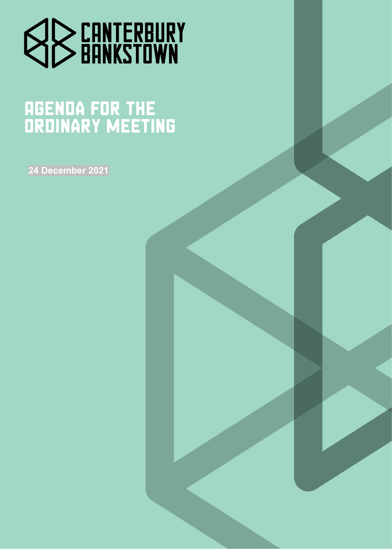

# **AGENDA FOR THE<br>ORDINARY MEETING**

**24 December 2021**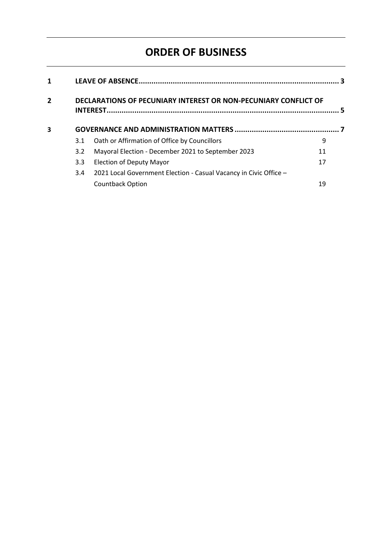# **ORDER OF BUSINESS**

| 1              | DECLARATIONS OF PECUNIARY INTEREST OR NON-PECUNIARY CONFLICT OF<br>5 |                                                                   |    |  |
|----------------|----------------------------------------------------------------------|-------------------------------------------------------------------|----|--|
| $\overline{2}$ |                                                                      |                                                                   |    |  |
| 3              |                                                                      |                                                                   |    |  |
|                | 3.1                                                                  | Oath or Affirmation of Office by Councillors                      | 9  |  |
|                | 3.2                                                                  | Mayoral Election - December 2021 to September 2023                | 11 |  |
|                | 3.3 <sub>2</sub>                                                     | <b>Election of Deputy Mayor</b>                                   | 17 |  |
|                | 3.4                                                                  | 2021 Local Government Election - Casual Vacancy in Civic Office - |    |  |
|                |                                                                      | Countback Option                                                  | 19 |  |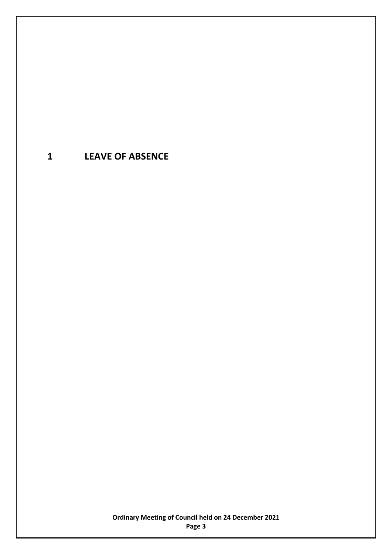# <span id="page-2-0"></span>**1 LEAVE OF ABSENCE**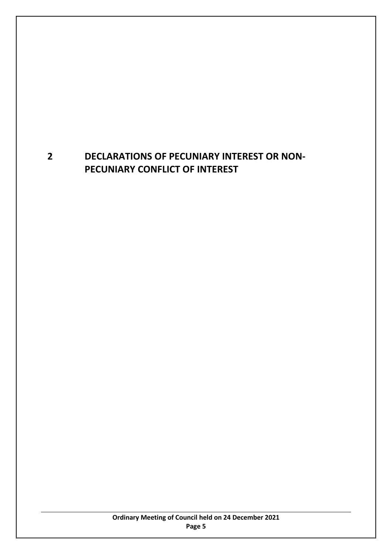# <span id="page-4-0"></span>**2 DECLARATIONS OF PECUNIARY INTEREST OR NON-PECUNIARY CONFLICT OF INTEREST**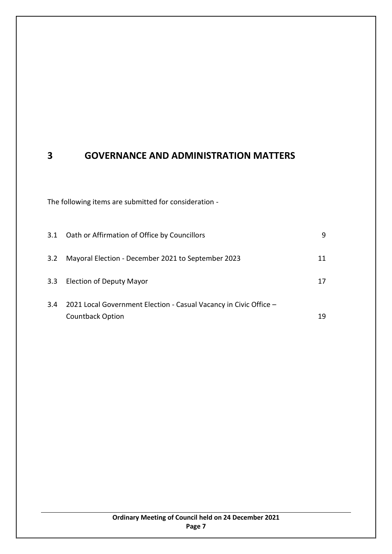# <span id="page-6-0"></span>**3 GOVERNANCE AND ADMINISTRATION MATTERS**

The following items are submitted for consideration -

| 3.1 | Oath or Affirmation of Office by Councillors                      | 9  |
|-----|-------------------------------------------------------------------|----|
| 3.2 | Mayoral Election - December 2021 to September 2023                | 11 |
| 3.3 | Election of Deputy Mayor                                          | 17 |
| 3.4 | 2021 Local Government Election - Casual Vacancy in Civic Office - |    |
|     | <b>Countback Option</b>                                           | 19 |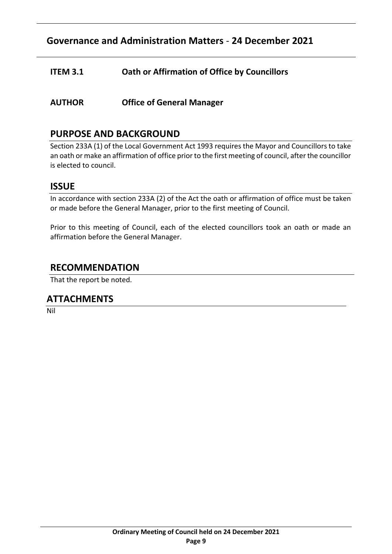## <span id="page-8-0"></span>**ITEM 3.1 Oath or Affirmation of Office by Councillors**

**AUTHOR Office of General Manager** 

## **PURPOSE AND BACKGROUND**

Section 233A (1) of the Local Government Act 1993 requires the Mayor and Councillors to take an oath or make an affirmation of office prior to the first meeting of council, after the councillor is elected to council.

## **ISSUE**

In accordance with section 233A (2) of the Act the oath or affirmation of office must be taken or made before the General Manager, prior to the first meeting of Council.

Prior to this meeting of Council, each of the elected councillors took an oath or made an affirmation before the General Manager.

## **RECOMMENDATION**

That the report be noted.

## **ATTACHMENTS**

Nil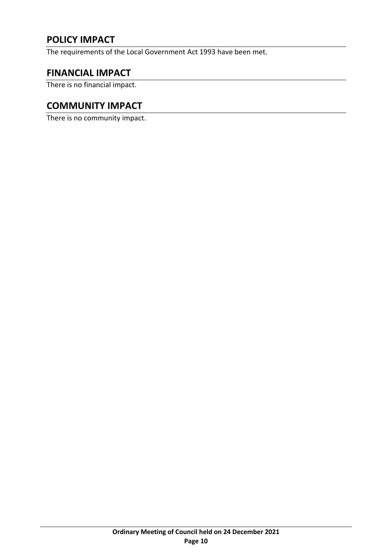# **POLICY IMPACT**

The requirements of the Local Government Act 1993 have been met.

## **FINANCIAL IMPACT**

There is no financial impact.

## **COMMUNITY IMPACT**

There is no community impact.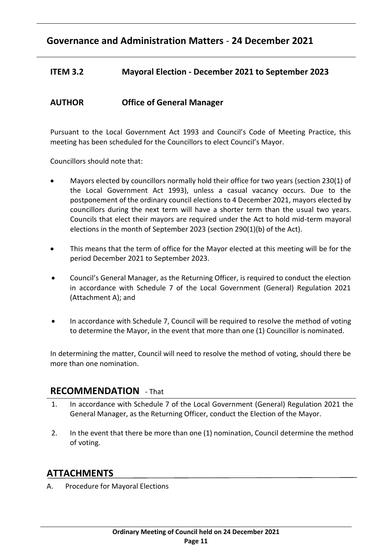## <span id="page-10-0"></span>**ITEM 3.2 Mayoral Election - December 2021 to September 2023**

## **AUTHOR Office of General Manager**

Pursuant to the Local Government Act 1993 and Council's Code of Meeting Practice, this meeting has been scheduled for the Councillors to elect Council's Mayor.

Councillors should note that:

- Mayors elected by councillors normally hold their office for two years (section 230(1) of the Local Government Act 1993), unless a casual vacancy occurs. Due to the postponement of the ordinary council elections to 4 December 2021, mayors elected by councillors during the next term will have a shorter term than the usual two years. Councils that elect their mayors are required under the Act to hold mid-term mayoral elections in the month of September 2023 (section 290(1)(b) of the Act).
- This means that the term of office for the Mayor elected at this meeting will be for the period December 2021 to September 2023.
- Council's General Manager, as the Returning Officer, is required to conduct the election in accordance with Schedule 7 of the Local Government (General) Regulation 2021 (Attachment A); and
- In accordance with Schedule 7, Council will be required to resolve the method of voting to determine the Mayor, in the event that more than one (1) Councillor is nominated.

In determining the matter, Council will need to resolve the method of voting, should there be more than one nomination.

#### **RECOMMENDATION** - That

- 1. In accordance with Schedule 7 of the Local Government (General) Regulation 2021 the General Manager, as the Returning Officer, conduct the Election of the Mayor.
- 2. In the event that there be more than one (1) nomination, Council determine the method of voting.

## **ATTACHMENTS**

A. Procedure for Mayoral Elections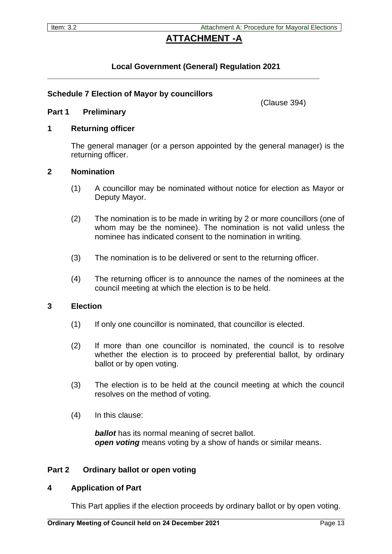## **ATTACHMENT -A**

#### **Local Government (General) Regulation 2021**

**\_\_\_\_\_\_\_\_\_\_\_\_\_\_\_\_\_\_\_\_\_\_\_\_\_\_\_\_\_\_\_\_\_\_\_\_\_\_\_\_\_\_\_\_\_\_\_\_\_\_\_\_\_\_\_\_\_\_\_\_\_\_**

#### **Schedule 7 Election of Mayor by councillors**

**Part 1 Preliminary**

(Clause 394)

#### **1 Returning officer**

The general manager (or a person appointed by the general manager) is the returning officer.

#### **2 Nomination**

- (1) A councillor may be nominated without notice for election as Mayor or Deputy Mayor.
- (2) The nomination is to be made in writing by 2 or more councillors (one of whom may be the nominee). The nomination is not valid unless the nominee has indicated consent to the nomination in writing.
- (3) The nomination is to be delivered or sent to the returning officer.
- (4) The returning officer is to announce the names of the nominees at the council meeting at which the election is to be held.

#### **3 Election**

- (1) If only one councillor is nominated, that councillor is elected.
- (2) If more than one councillor is nominated, the council is to resolve whether the election is to proceed by preferential ballot, by ordinary ballot or by open voting.
- (3) The election is to be held at the council meeting at which the council resolves on the method of voting.
- (4) In this clause:

*ballot* has its normal meaning of secret ballot. *open voting* means voting by a show of hands or similar means.

#### **Part 2 Ordinary ballot or open voting**

#### **4 Application of Part**

This Part applies if the election proceeds by ordinary ballot or by open voting.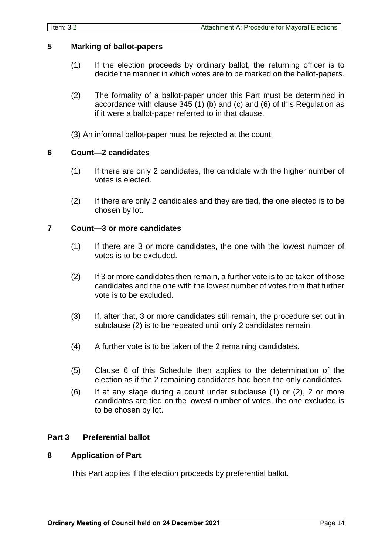#### **5 Marking of ballot-papers**

- (1) If the election proceeds by ordinary ballot, the returning officer is to decide the manner in which votes are to be marked on the ballot-papers.
- (2) The formality of a ballot-paper under this Part must be determined in accordance with clause 345 (1) (b) and (c) and (6) of this Regulation as if it were a ballot-paper referred to in that clause.
- (3) An informal ballot-paper must be rejected at the count.

#### **6 Count—2 candidates**

- (1) If there are only 2 candidates, the candidate with the higher number of votes is elected.
- (2) If there are only 2 candidates and they are tied, the one elected is to be chosen by lot.

#### **7 Count—3 or more candidates**

- (1) If there are 3 or more candidates, the one with the lowest number of votes is to be excluded.
- (2) If 3 or more candidates then remain, a further vote is to be taken of those candidates and the one with the lowest number of votes from that further vote is to be excluded.
- (3) If, after that, 3 or more candidates still remain, the procedure set out in subclause (2) is to be repeated until only 2 candidates remain.
- (4) A further vote is to be taken of the 2 remaining candidates.
- (5) Clause 6 of this Schedule then applies to the determination of the election as if the 2 remaining candidates had been the only candidates.
- (6) If at any stage during a count under subclause (1) or (2), 2 or more candidates are tied on the lowest number of votes, the one excluded is to be chosen by lot.

#### **Part 3 Preferential ballot**

#### **8 Application of Part**

This Part applies if the election proceeds by preferential ballot.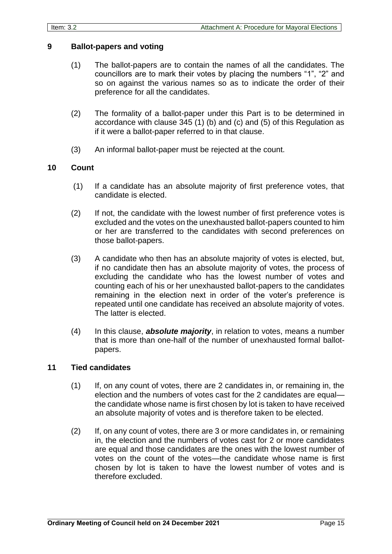#### **9 Ballot-papers and voting**

- (1) The ballot-papers are to contain the names of all the candidates. The councillors are to mark their votes by placing the numbers "1", "2" and so on against the various names so as to indicate the order of their preference for all the candidates.
- (2) The formality of a ballot-paper under this Part is to be determined in accordance with clause 345 (1) (b) and (c) and (5) of this Regulation as if it were a ballot-paper referred to in that clause.
- (3) An informal ballot-paper must be rejected at the count.

#### **10 Count**

- (1) If a candidate has an absolute majority of first preference votes, that candidate is elected.
- (2) If not, the candidate with the lowest number of first preference votes is excluded and the votes on the unexhausted ballot-papers counted to him or her are transferred to the candidates with second preferences on those ballot-papers.
- (3) A candidate who then has an absolute majority of votes is elected, but, if no candidate then has an absolute majority of votes, the process of excluding the candidate who has the lowest number of votes and counting each of his or her unexhausted ballot-papers to the candidates remaining in the election next in order of the voter's preference is repeated until one candidate has received an absolute majority of votes. The latter is elected.
- (4) In this clause, *absolute majority*, in relation to votes, means a number that is more than one-half of the number of unexhausted formal ballotpapers.

#### **11 Tied candidates**

- (1) If, on any count of votes, there are 2 candidates in, or remaining in, the election and the numbers of votes cast for the 2 candidates are equal the candidate whose name is first chosen by lot is taken to have received an absolute majority of votes and is therefore taken to be elected.
- (2) If, on any count of votes, there are 3 or more candidates in, or remaining in, the election and the numbers of votes cast for 2 or more candidates are equal and those candidates are the ones with the lowest number of votes on the count of the votes—the candidate whose name is first chosen by lot is taken to have the lowest number of votes and is therefore excluded.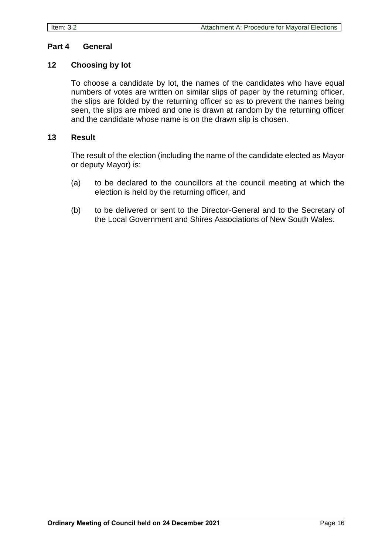#### **Part 4 General**

#### **12 Choosing by lot**

To choose a candidate by lot, the names of the candidates who have equal numbers of votes are written on similar slips of paper by the returning officer, the slips are folded by the returning officer so as to prevent the names being seen, the slips are mixed and one is drawn at random by the returning officer and the candidate whose name is on the drawn slip is chosen.

#### **13 Result**

The result of the election (including the name of the candidate elected as Mayor or deputy Mayor) is:

- (a) to be declared to the councillors at the council meeting at which the election is held by the returning officer, and
- (b) to be delivered or sent to the Director-General and to the Secretary of the Local Government and Shires Associations of New South Wales.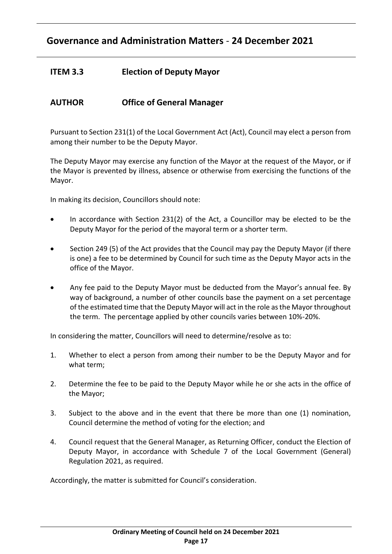## <span id="page-16-0"></span>**ITEM 3.3 Election of Deputy Mayor**

## **AUTHOR Office of General Manager**

Pursuant to Section 231(1) of the Local Government Act (Act), Council may elect a person from among their number to be the Deputy Mayor.

The Deputy Mayor may exercise any function of the Mayor at the request of the Mayor, or if the Mayor is prevented by illness, absence or otherwise from exercising the functions of the Mayor.

In making its decision, Councillors should note:

- In accordance with Section  $231(2)$  of the Act, a Councillor may be elected to be the Deputy Mayor for the period of the mayoral term or a shorter term.
- Section 249 (5) of the Act provides that the Council may pay the Deputy Mayor (if there is one) a fee to be determined by Council for such time as the Deputy Mayor acts in the office of the Mayor.
- Any fee paid to the Deputy Mayor must be deducted from the Mayor's annual fee. By way of background, a number of other councils base the payment on a set percentage of the estimated time that the Deputy Mayor will act in the role as the Mayor throughout the term. The percentage applied by other councils varies between 10%-20%.

In considering the matter, Councillors will need to determine/resolve as to:

- 1. Whether to elect a person from among their number to be the Deputy Mayor and for what term;
- 2. Determine the fee to be paid to the Deputy Mayor while he or she acts in the office of the Mayor;
- 3. Subject to the above and in the event that there be more than one (1) nomination, Council determine the method of voting for the election; and
- 4. Council request that the General Manager, as Returning Officer, conduct the Election of Deputy Mayor, in accordance with Schedule 7 of the Local Government (General) Regulation 2021, as required.

Accordingly, the matter is submitted for Council's consideration.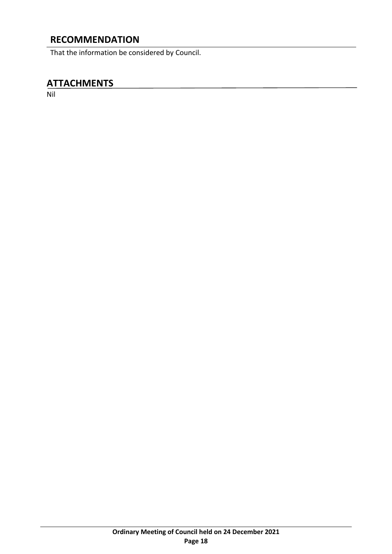# **RECOMMENDATION**

That the information be considered by Council.

## **ATTACHMENTS**

Nil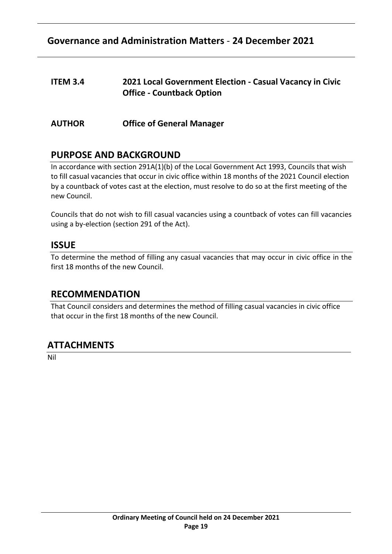## <span id="page-18-0"></span>**ITEM 3.4 2021 Local Government Election - Casual Vacancy in Civic Office - Countback Option**

**AUTHOR Office of General Manager** 

## **PURPOSE AND BACKGROUND**

In accordance with section 291A(1)(b) of the Local Government Act 1993, Councils that wish to fill casual vacancies that occur in civic office within 18 months of the 2021 Council election by a countback of votes cast at the election, must resolve to do so at the first meeting of the new Council.

Councils that do not wish to fill casual vacancies using a countback of votes can fill vacancies using a by-election (section 291 of the Act).

## **ISSUE**

To determine the method of filling any casual vacancies that may occur in civic office in the first 18 months of the new Council.

## **RECOMMENDATION**

That Council considers and determines the method of filling casual vacancies in civic office that occur in the first 18 months of the new Council.

## **ATTACHMENTS**

Nil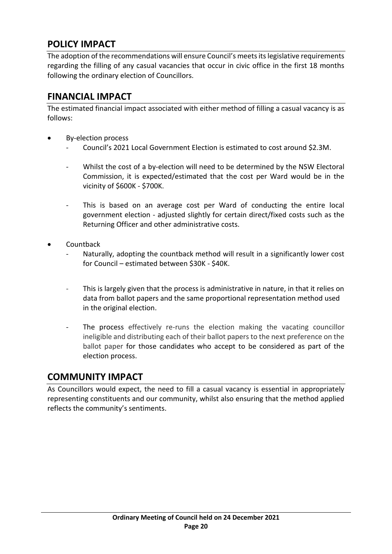# **POLICY IMPACT**

The adoption of the recommendations will ensure Council's meets its legislative requirements regarding the filling of any casual vacancies that occur in civic office in the first 18 months following the ordinary election of Councillors.

## **FINANCIAL IMPACT**

The estimated financial impact associated with either method of filling a casual vacancy is as follows:

- By-election process
	- Council's 2021 Local Government Election is estimated to cost around \$2.3M.
	- Whilst the cost of a by-election will need to be determined by the NSW Electoral Commission, it is expected/estimated that the cost per Ward would be in the vicinity of \$600K - \$700K.
	- This is based on an average cost per Ward of conducting the entire local government election - adjusted slightly for certain direct/fixed costs such as the Returning Officer and other administrative costs.
- Countback
	- Naturally, adopting the countback method will result in a significantly lower cost for Council – estimated between \$30K - \$40K.
	- This is largely given that the process is administrative in nature, in that it relies on data from ballot papers and the same proportional representation method used in the original election.
	- The process effectively re-runs the election making the vacating councillor ineligible and distributing each of their ballot papers to the next preference on the ballot paper for those candidates who accept to be considered as part of the election process.

## **COMMUNITY IMPACT**

As Councillors would expect, the need to fill a casual vacancy is essential in appropriately representing constituents and our community, whilst also ensuring that the method applied reflects the community's sentiments.